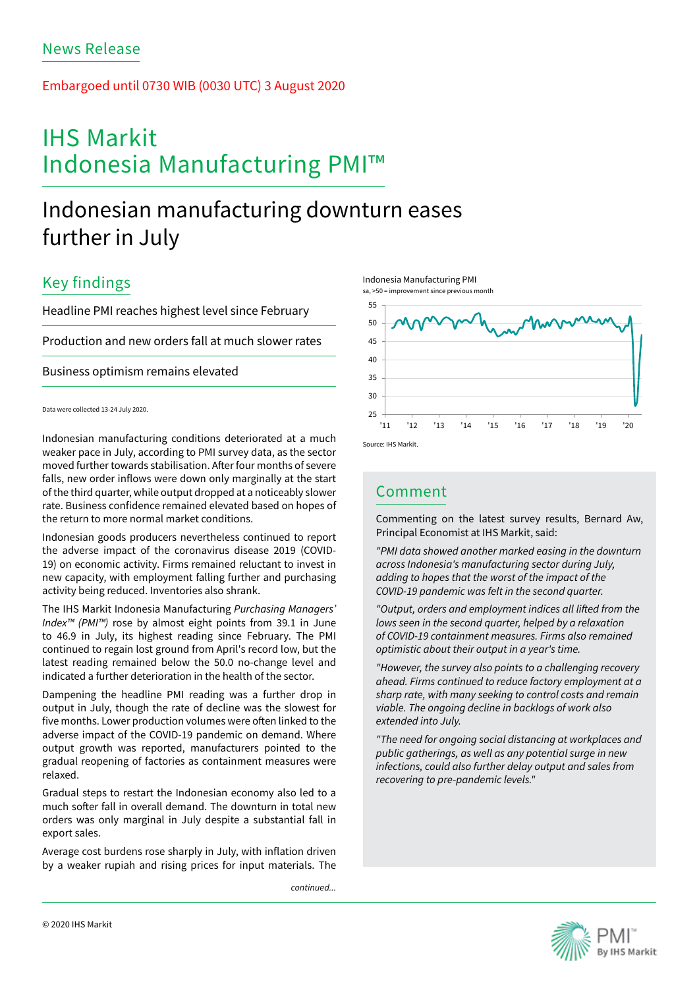## Embargoed until 0730 WIB (0030 UTC) 3 August 2020

# IHS Markit Indonesia Manufacturing PMI™

# Indonesian manufacturing downturn eases further in July

## Key findings

Headline PMI reaches highest level since February

Production and new orders fall at much slower rates

Business optimism remains elevated

Data were collected 13-24 July 2020.

Indonesian manufacturing conditions deteriorated at a much weaker pace in July, according to PMI survey data, as the sector moved further towards stabilisation. After four months of severe falls, new order inflows were down only marginally at the start of the third quarter, while output dropped at a noticeably slower rate. Business confidence remained elevated based on hopes of the return to more normal market conditions.

Indonesian goods producers nevertheless continued to report the adverse impact of the coronavirus disease 2019 (COVID-19) on economic activity. Firms remained reluctant to invest in new capacity, with employment falling further and purchasing activity being reduced. Inventories also shrank.

The IHS Markit Indonesia Manufacturing *Purchasing Managers' Index™ (PMI™)* rose by almost eight points from 39.1 in June to 46.9 in July, its highest reading since February. The PMI continued to regain lost ground from April's record low, but the latest reading remained below the 50.0 no-change level and indicated a further deterioration in the health of the sector.

Dampening the headline PMI reading was a further drop in output in July, though the rate of decline was the slowest for five months. Lower production volumes were often linked to the adverse impact of the COVID-19 pandemic on demand. Where output growth was reported, manufacturers pointed to the gradual reopening of factories as containment measures were relaxed.

Gradual steps to restart the Indonesian economy also led to a much softer fall in overall demand. The downturn in total new orders was only marginal in July despite a substantial fall in export sales.

Average cost burdens rose sharply in July, with inflation driven by a weaker rupiah and rising prices for input materials. The

*continued...*





## Comment

Commenting on the latest survey results, Bernard Aw, Principal Economist at IHS Markit, said:

*"PMI data showed another marked easing in the downturn across Indonesia's manufacturing sector during July, adding to hopes that the worst of the impact of the COVID-19 pandemic was felt in the second quarter.*

*"Output, orders and employment indices all lifted from the lows seen in the second quarter, helped by a relaxation of COVID-19 containment measures. Firms also remained optimistic about their output in a year's time.*

*"However, the survey also points to a challenging recovery ahead. Firms continued to reduce factory employment at a sharp rate, with many seeking to control costs and remain viable. The ongoing decline in backlogs of work also extended into July.*

*"The need for ongoing social distancing at workplaces and public gatherings, as well as any potential surge in new infections, could also further delay output and sales from recovering to pre-pandemic levels."*